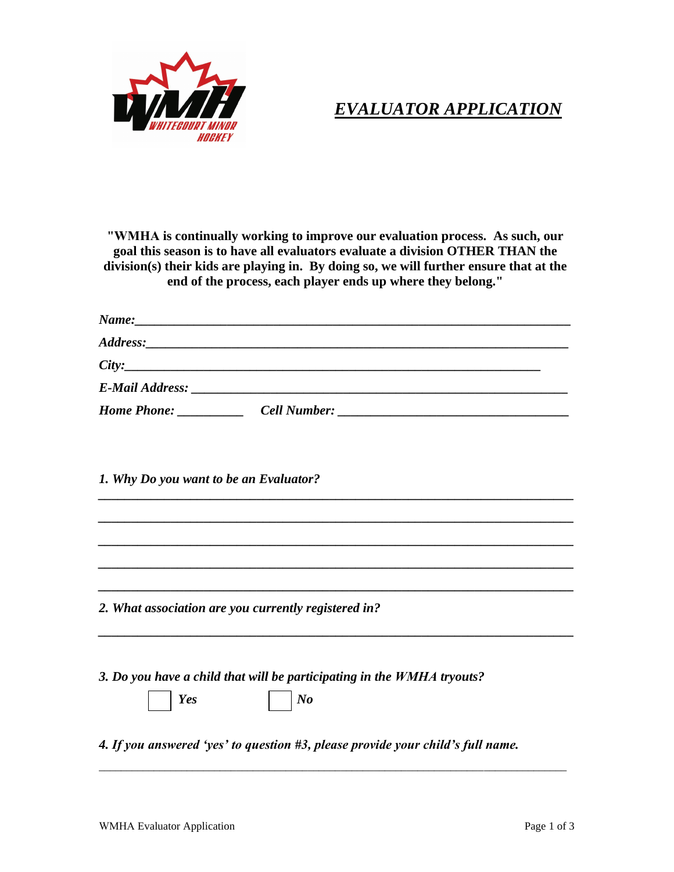

## *EVALUATOR APPLICATION*

**"WMHA is continually working to improve our evaluation process. As such, our goal this season is to have all evaluators evaluate a division OTHER THAN the division(s) their kids are playing in. By doing so, we will further ensure that at the end of the process, each player ends up where they belong."** 

|             | City: |  |
|-------------|-------|--|
|             |       |  |
| Home Phone: |       |  |

*\_\_\_\_\_\_\_\_\_\_\_\_\_\_\_\_\_\_\_\_\_\_\_\_\_\_\_\_\_\_\_\_\_\_\_\_\_\_\_\_\_\_\_\_\_\_\_\_\_\_\_\_\_\_\_\_\_\_\_\_\_\_\_\_\_\_\_\_\_\_\_\_*

*\_\_\_\_\_\_\_\_\_\_\_\_\_\_\_\_\_\_\_\_\_\_\_\_\_\_\_\_\_\_\_\_\_\_\_\_\_\_\_\_\_\_\_\_\_\_\_\_\_\_\_\_\_\_\_\_\_\_\_\_\_\_\_\_\_\_\_\_\_\_\_\_*

*\_\_\_\_\_\_\_\_\_\_\_\_\_\_\_\_\_\_\_\_\_\_\_\_\_\_\_\_\_\_\_\_\_\_\_\_\_\_\_\_\_\_\_\_\_\_\_\_\_\_\_\_\_\_\_\_\_\_\_\_\_\_\_\_\_\_\_\_\_\_\_\_*

*\_\_\_\_\_\_\_\_\_\_\_\_\_\_\_\_\_\_\_\_\_\_\_\_\_\_\_\_\_\_\_\_\_\_\_\_\_\_\_\_\_\_\_\_\_\_\_\_\_\_\_\_\_\_\_\_\_\_\_\_\_\_\_\_\_\_\_\_\_\_\_\_*

*\_\_\_\_\_\_\_\_\_\_\_\_\_\_\_\_\_\_\_\_\_\_\_\_\_\_\_\_\_\_\_\_\_\_\_\_\_\_\_\_\_\_\_\_\_\_\_\_\_\_\_\_\_\_\_\_\_\_\_\_\_\_\_\_\_\_\_\_\_\_\_\_* 

*\_\_\_\_\_\_\_\_\_\_\_\_\_\_\_\_\_\_\_\_\_\_\_\_\_\_\_\_\_\_\_\_\_\_\_\_\_\_\_\_\_\_\_\_\_\_\_\_\_\_\_\_\_\_\_\_\_\_\_\_\_\_\_\_\_\_\_\_\_\_\_\_* 

*1. Why Do you want to be an Evaluator?*

*2. What association are you currently registered in?*

*3. Do you have a child that will be participating in the WMHA tryouts?*

*Yes No*

*4. If you answered 'yes' to question #3, please provide your child's full name.*

\_\_\_\_\_\_\_\_\_\_\_\_\_\_\_\_\_\_\_\_\_\_\_\_\_\_\_\_\_\_\_\_\_\_\_\_\_\_\_\_\_\_\_\_\_\_\_\_\_\_\_\_\_\_\_\_\_\_\_\_\_\_\_\_\_\_\_\_\_\_\_\_\_\_\_\_\_\_\_\_\_\_\_\_\_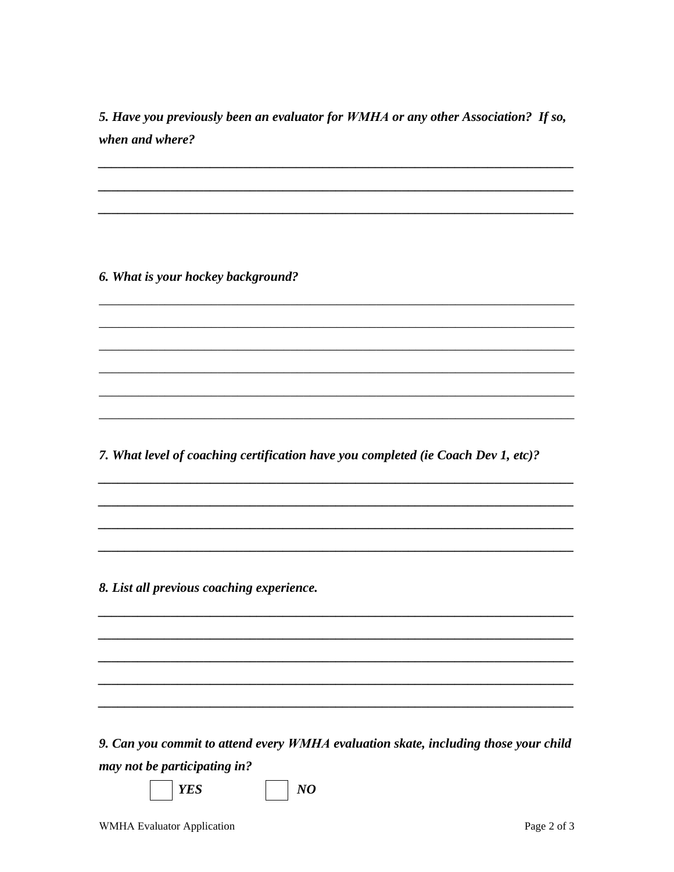5. Have you previously been an evaluator for WMHA or any other Association? If so, when and where?

6. What is your hockey background?

7. What level of coaching certification have you completed (ie Coach Dev 1, etc)?

8. List all previous coaching experience.

9. Can you commit to attend every WMHA evaluation skate, including those your child may not be participating in?

 $NQ$